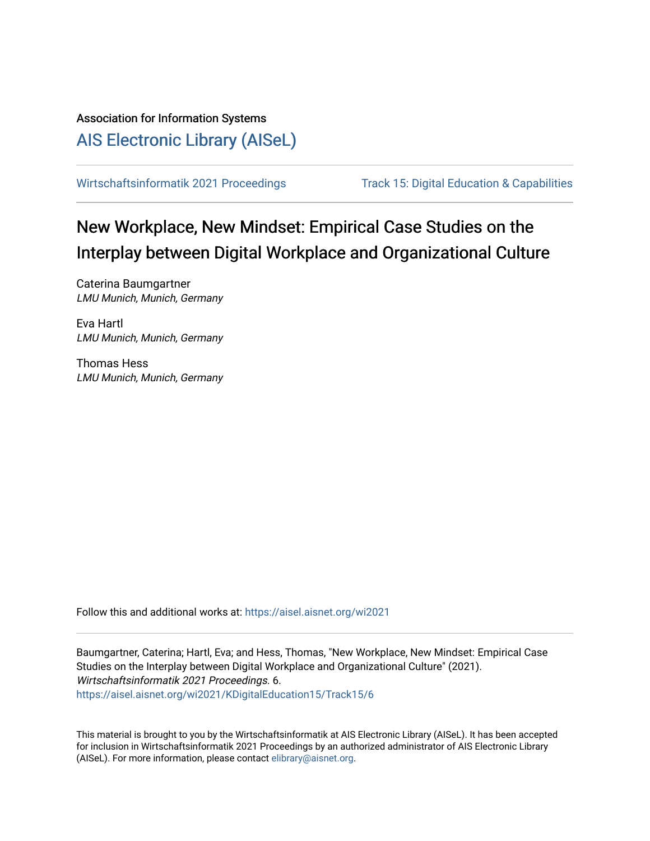Association for Information Systems [AIS Electronic Library \(AISeL\)](https://aisel.aisnet.org/)

[Wirtschaftsinformatik 2021 Proceedings](https://aisel.aisnet.org/wi2021) Track 15: Digital Education & Capabilities

# New Workplace, New Mindset: Empirical Case Studies on the Interplay between Digital Workplace and Organizational Culture

Caterina Baumgartner LMU Munich, Munich, Germany

Eva Hartl LMU Munich, Munich, Germany

Thomas Hess LMU Munich, Munich, Germany

Follow this and additional works at: [https://aisel.aisnet.org/wi2021](https://aisel.aisnet.org/wi2021?utm_source=aisel.aisnet.org%2Fwi2021%2FKDigitalEducation15%2FTrack15%2F6&utm_medium=PDF&utm_campaign=PDFCoverPages) 

Baumgartner, Caterina; Hartl, Eva; and Hess, Thomas, "New Workplace, New Mindset: Empirical Case Studies on the Interplay between Digital Workplace and Organizational Culture" (2021). Wirtschaftsinformatik 2021 Proceedings. 6. [https://aisel.aisnet.org/wi2021/KDigitalEducation15/Track15/6](https://aisel.aisnet.org/wi2021/KDigitalEducation15/Track15/6?utm_source=aisel.aisnet.org%2Fwi2021%2FKDigitalEducation15%2FTrack15%2F6&utm_medium=PDF&utm_campaign=PDFCoverPages)

This material is brought to you by the Wirtschaftsinformatik at AIS Electronic Library (AISeL). It has been accepted for inclusion in Wirtschaftsinformatik 2021 Proceedings by an authorized administrator of AIS Electronic Library (AISeL). For more information, please contact [elibrary@aisnet.org](mailto:elibrary@aisnet.org%3E).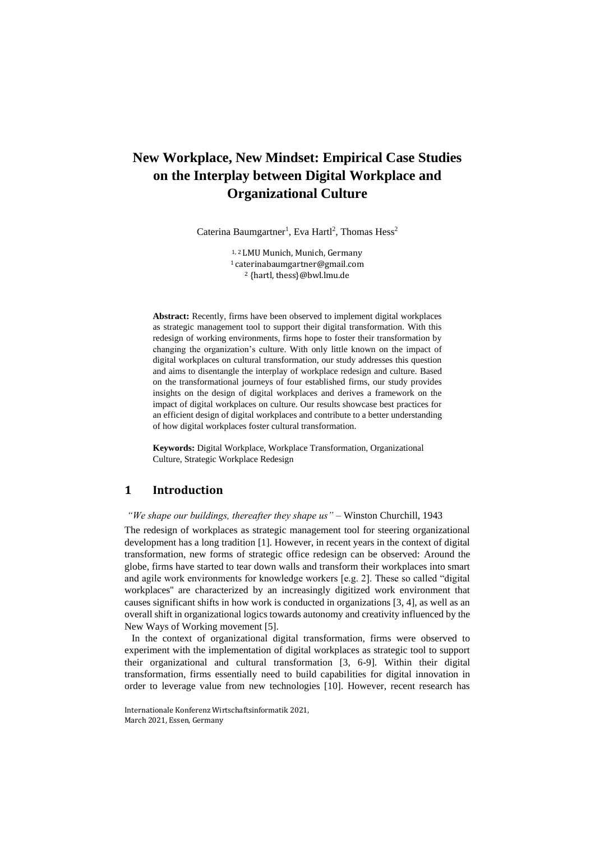# **New Workplace, New Mindset: Empirical Case Studies on the Interplay between Digital Workplace and Organizational Culture**

Caterina Baumgartner<sup>1</sup>, Eva Hartl<sup>2</sup>, Thomas Hess<sup>2</sup>

1, 2 LMU Munich, Munich, Germany <sup>1</sup> caterinabaumgartner@gmail.com <sup>2</sup> {hartl, thess}@bwl.lmu.de

**Abstract:** Recently, firms have been observed to implement digital workplaces as strategic management tool to support their digital transformation. With this redesign of working environments, firms hope to foster their transformation by changing the organization's culture. With only little known on the impact of digital workplaces on cultural transformation, our study addresses this question and aims to disentangle the interplay of workplace redesign and culture. Based on the transformational journeys of four established firms, our study provides insights on the design of digital workplaces and derives a framework on the impact of digital workplaces on culture. Our results showcase best practices for an efficient design of digital workplaces and contribute to a better understanding of how digital workplaces foster cultural transformation.

**Keywords:** Digital Workplace, Workplace Transformation, Organizational Culture, Strategic Workplace Redesign

#### **1 Introduction**

*"We shape our buildings, thereafter they shape us"* – Winston Churchill, 1943

The redesign of workplaces as strategic management tool for steering organizational development has a long tradition [1]. However, in recent years in the context of digital transformation, new forms of strategic office redesign can be observed: Around the globe, firms have started to tear down walls and transform their workplaces into smart and agile work environments for knowledge workers [e.g. 2]. These so called "digital workplaces'' are characterized by an increasingly digitized work environment that causes significant shifts in how work is conducted in organizations [3, 4], as well as an overall shift in organizational logics towards autonomy and creativity influenced by the New Ways of Working movement [5].

In the context of organizational digital transformation, firms were observed to experiment with the implementation of digital workplaces as strategic tool to support their organizational and cultural transformation [3, 6-9]. Within their digital transformation, firms essentially need to build capabilities for digital innovation in order to leverage value from new technologies [10]. However, recent research has

Internationale Konferenz Wirtschaftsinformatik 2021, March 2021, Essen, Germany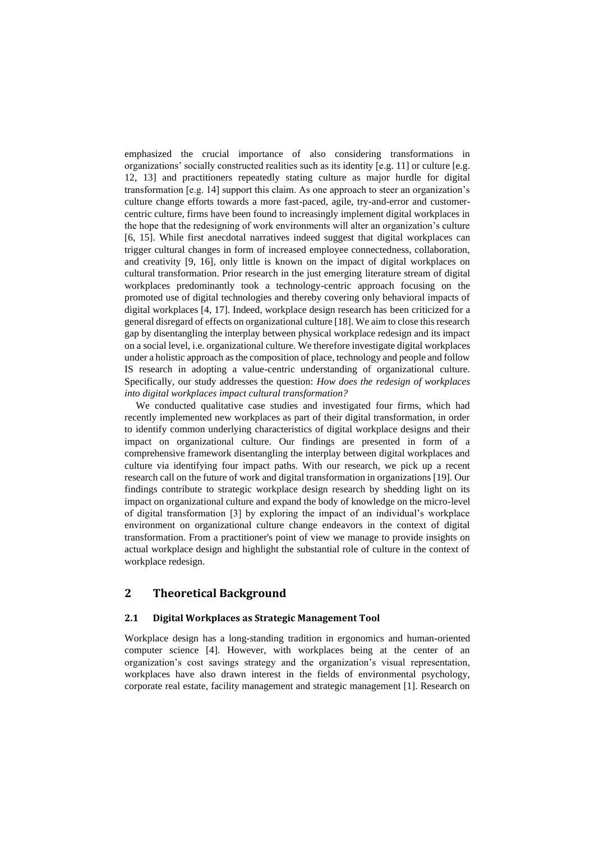emphasized the crucial importance of also considering transformations in organizations' socially constructed realities such as its identity [e.g. 11] or culture [e.g. 12, 13] and practitioners repeatedly stating culture as major hurdle for digital transformation [e.g. 14] support this claim. As one approach to steer an organization's culture change efforts towards a more fast-paced, agile, try-and-error and customercentric culture, firms have been found to increasingly implement digital workplaces in the hope that the redesigning of work environments will alter an organization's culture [6, 15]. While first anecdotal narratives indeed suggest that digital workplaces can trigger cultural changes in form of increased employee connectedness, collaboration, and creativity [9, 16]*,* only little is known on the impact of digital workplaces on cultural transformation. Prior research in the just emerging literature stream of digital workplaces predominantly took a technology-centric approach focusing on the promoted use of digital technologies and thereby covering only behavioral impacts of digital workplaces [4, 17]. Indeed, workplace design research has been criticized for a general disregard of effects on organizational culture [18]. We aim to close this research gap by disentangling the interplay between physical workplace redesign and its impact on a social level, i.e. organizational culture. We therefore investigate digital workplaces under a holistic approach as the composition of place, technology and people and follow IS research in adopting a value-centric understanding of organizational culture. Specifically, our study addresses the question: *How does the redesign of workplaces into digital workplaces impact cultural transformation?*

We conducted qualitative case studies and investigated four firms, which had recently implemented new workplaces as part of their digital transformation, in order to identify common underlying characteristics of digital workplace designs and their impact on organizational culture. Our findings are presented in form of a comprehensive framework disentangling the interplay between digital workplaces and culture via identifying four impact paths. With our research, we pick up a recent research call on the future of work and digital transformation in organizations [19]. Our findings contribute to strategic workplace design research by shedding light on its impact on organizational culture and expand the body of knowledge on the micro-level of digital transformation [3] by exploring the impact of an individual's workplace environment on organizational culture change endeavors in the context of digital transformation. From a practitioner's point of view we manage to provide insights on actual workplace design and highlight the substantial role of culture in the context of workplace redesign.

#### **2 Theoretical Background**

#### **2.1 Digital Workplaces as Strategic Management Tool**

Workplace design has a long-standing tradition in ergonomics and human-oriented computer science [4]. However, with workplaces being at the center of an organization's cost savings strategy and the organization's visual representation, workplaces have also drawn interest in the fields of environmental psychology, corporate real estate, facility management and strategic management [1]. Research on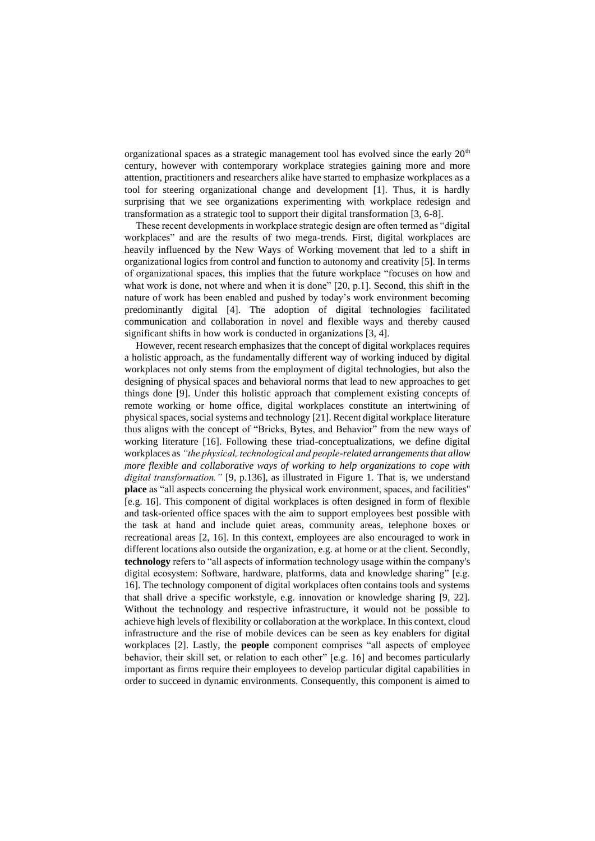organizational spaces as a strategic management tool has evolved since the early  $20<sup>th</sup>$ century, however with contemporary workplace strategies gaining more and more attention, practitioners and researchers alike have started to emphasize workplaces as a tool for steering organizational change and development [1]. Thus, it is hardly surprising that we see organizations experimenting with workplace redesign and transformation as a strategic tool to support their digital transformation [3, 6-8].

These recent developments in workplace strategic design are often termed as "digital workplaces" and are the results of two mega-trends. First, digital workplaces are heavily influenced by the New Ways of Working movement that led to a shift in organizational logics from control and function to autonomy and creativity [5]. In terms of organizational spaces, this implies that the future workplace "focuses on how and what work is done, not where and when it is done" [20, p.1]. Second, this shift in the nature of work has been enabled and pushed by today's work environment becoming predominantly digital [4]. The adoption of digital technologies facilitated communication and collaboration in novel and flexible ways and thereby caused significant shifts in how work is conducted in organizations [3, 4].

However, recent research emphasizes that the concept of digital workplaces requires a holistic approach, as the fundamentally different way of working induced by digital workplaces not only stems from the employment of digital technologies, but also the designing of physical spaces and behavioral norms that lead to new approaches to get things done [9]. Under this holistic approach that complement existing concepts of remote working or home office, digital workplaces constitute an intertwining of physical spaces, social systems and technology [21]. Recent digital workplace literature thus aligns with the concept of "Bricks, Bytes, and Behavior" from the new ways of working literature [16]. Following these triad-conceptualizations, we define digital workplaces as *"the physical, technological and people-related arrangements that allow more flexible and collaborative ways of working to help organizations to cope with digital transformation."* [9, p.136], as illustrated in Figure 1. That is, we understand **place** as "all aspects concerning the physical work environment, spaces, and facilities'' [e.g. 16]. This component of digital workplaces is often designed in form of flexible and task-oriented office spaces with the aim to support employees best possible with the task at hand and include quiet areas, community areas, telephone boxes or recreational areas [2, 16]. In this context, employees are also encouraged to work in different locations also outside the organization, e.g. at home or at the client. Secondly, **technology** refers to "all aspects of information technology usage within the company's digital ecosystem: Software, hardware, platforms, data and knowledge sharing" [e.g. 16]. The technology component of digital workplaces often contains tools and systems that shall drive a specific workstyle, e.g. innovation or knowledge sharing [9, 22]. Without the technology and respective infrastructure, it would not be possible to achieve high levels of flexibility or collaboration at the workplace. In this context, cloud infrastructure and the rise of mobile devices can be seen as key enablers for digital workplaces [2]. Lastly, the **people** component comprises "all aspects of employee behavior, their skill set, or relation to each other" [e.g. 16] and becomes particularly important as firms require their employees to develop particular digital capabilities in order to succeed in dynamic environments. Consequently, this component is aimed to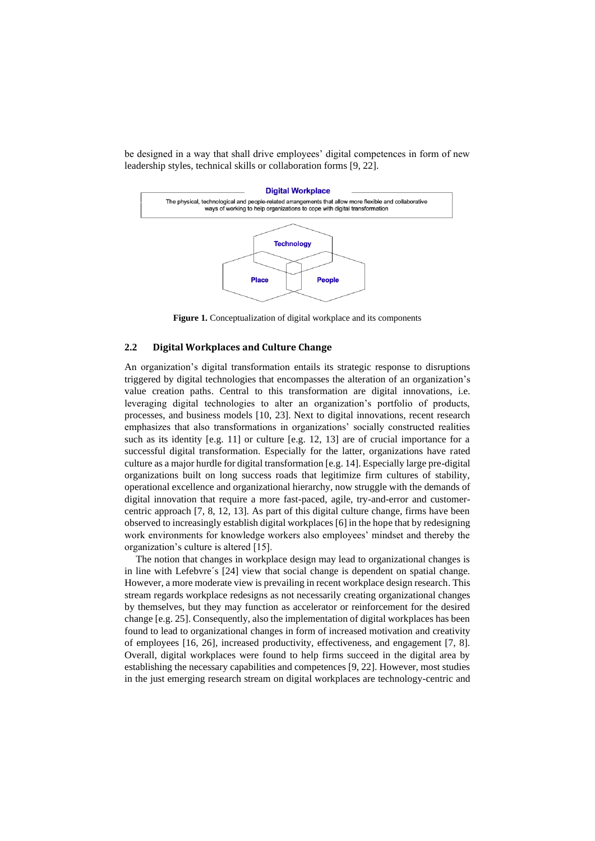be designed in a way that shall drive employees' digital competences in form of new leadership styles, technical skills or collaboration forms [9, 22].



**Figure 1.** Conceptualization of digital workplace and its components

#### **2.2 Digital Workplaces and Culture Change**

An organization's digital transformation entails its strategic response to disruptions triggered by digital technologies that encompasses the alteration of an organization's value creation paths. Central to this transformation are digital innovations, i.e. leveraging digital technologies to alter an organization's portfolio of products, processes, and business models [10, 23]. Next to digital innovations, recent research emphasizes that also transformations in organizations' socially constructed realities such as its identity [e.g. 11] or culture [e.g. 12, 13] are of crucial importance for a successful digital transformation. Especially for the latter, organizations have rated culture as a major hurdle for digital transformation [e.g. 14]. Especially large pre-digital organizations built on long success roads that legitimize firm cultures of stability, operational excellence and organizational hierarchy, now struggle with the demands of digital innovation that require a more fast-paced, agile, try-and-error and customercentric approach [7, 8, 12, 13]. As part of this digital culture change, firms have been observed to increasingly establish digital workplaces [6] in the hope that by redesigning work environments for knowledge workers also employees' mindset and thereby the organization's culture is altered [15].

The notion that changes in workplace design may lead to organizational changes is in line with Lefebvre´s [24] view that social change is dependent on spatial change. However, a more moderate view is prevailing in recent workplace design research. This stream regards workplace redesigns as not necessarily creating organizational changes by themselves, but they may function as accelerator or reinforcement for the desired change [e.g. 25]. Consequently, also the implementation of digital workplaces has been found to lead to organizational changes in form of increased motivation and creativity of employees [16, 26], increased productivity, effectiveness, and engagement [7, 8]. Overall, digital workplaces were found to help firms succeed in the digital area by establishing the necessary capabilities and competences [9, 22]. However, most studies in the just emerging research stream on digital workplaces are technology-centric and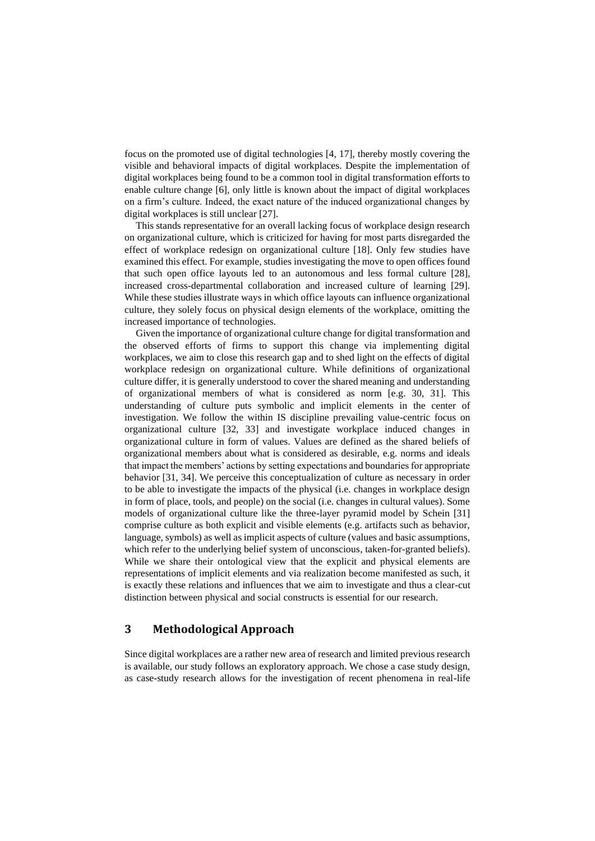focus on the promoted use of digital technologies [4, 17], thereby mostly covering the visible and behavioral impacts of digital workplaces. Despite the implementation of digital workplaces being found to be a common tool in digital transformation efforts to enable culture change [6], only little is known about the impact of digital workplaces on a firm's culture. Indeed, the exact nature of the induced organizational changes by digital workplaces is still unclear [27].

This stands representative for an overall lacking focus of workplace design research on organizational culture, which is criticized for having for most parts disregarded the effect of workplace redesign on organizational culture [18]. Only few studies have examined this effect. For example, studies investigating the move to open offices found that such open office layouts led to an autonomous and less formal culture [28], increased cross-departmental collaboration and increased culture of learning [29]. While these studies illustrate ways in which office layouts can influence organizational culture, they solely focus on physical design elements of the workplace, omitting the increased importance of technologies.

Given the importance of organizational culture change for digital transformation and the observed efforts of firms to support this change via implementing digital workplaces, we aim to close this research gap and to shed light on the effects of digital workplace redesign on organizational culture. While definitions of organizational culture differ, it is generally understood to cover the shared meaning and understanding of organizational members of what is considered as norm [e.g. 30, 31]. This understanding of culture puts symbolic and implicit elements in the center of investigation. We follow the within IS discipline prevailing value-centric focus on organizational culture [32, 33] and investigate workplace induced changes in organizational culture in form of values. Values are defined as the shared beliefs of organizational members about what is considered as desirable, e.g. norms and ideals that impact the members' actions by setting expectations and boundaries for appropriate behavior [31, 34]. We perceive this conceptualization of culture as necessary in order to be able to investigate the impacts of the physical (i.e. changes in workplace design in form of place, tools, and people) on the social (i.e. changes in cultural values). Some models of organizational culture like the three-layer pyramid model by Schein [31] comprise culture as both explicit and visible elements (e.g. artifacts such as behavior, language, symbols) as well as implicit aspects of culture (values and basic assumptions, which refer to the underlying belief system of unconscious, taken-for-granted beliefs). While we share their ontological view that the explicit and physical elements are representations of implicit elements and via realization become manifested as such, it is exactly these relations and influences that we aim to investigate and thus a clear-cut distinction between physical and social constructs is essential for our research.

### **3 Methodological Approach**

Since digital workplaces are a rather new area of research and limited previous research is available, our study follows an exploratory approach. We chose a case study design, as case-study research allows for the investigation of recent phenomena in real-life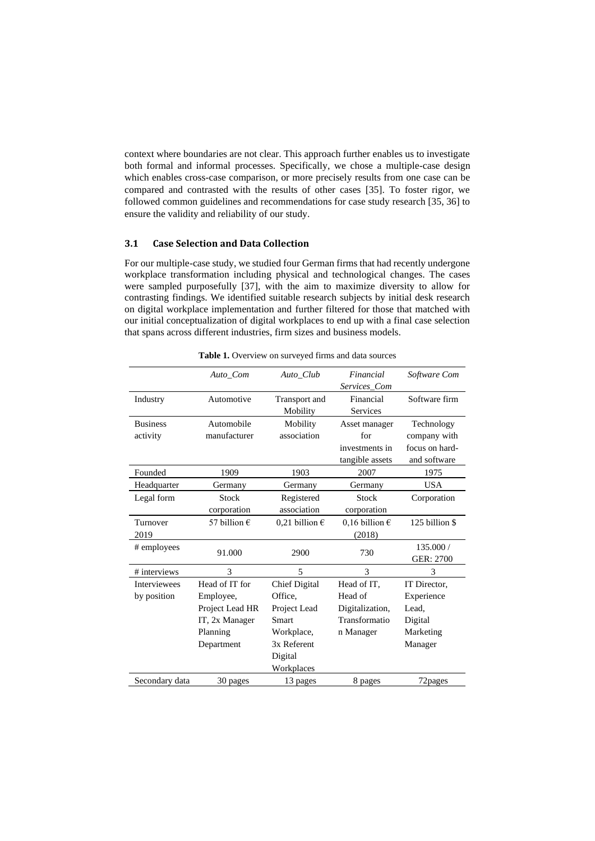context where boundaries are not clear. This approach further enables us to investigate both formal and informal processes. Specifically, we chose a multiple-case design which enables cross-case comparison, or more precisely results from one case can be compared and contrasted with the results of other cases [35]. To foster rigor, we followed common guidelines and recommendations for case study research [35, 36] to ensure the validity and reliability of our study.

#### **3.1 Case Selection and Data Collection**

For our multiple-case study, we studied four German firms that had recently undergone workplace transformation including physical and technological changes. The cases were sampled purposefully [37], with the aim to maximize diversity to allow for contrasting findings. We identified suitable research subjects by initial desk research on digital workplace implementation and further filtered for those that matched with our initial conceptualization of digital workplaces to end up with a final case selection that spans across different industries, firm sizes and business models.

*Auto\_Com Auto\_Club Financial Services\_Com Software Com* Industry Automotive Transport and Mobility Financial Services Software firm Business activity Automobile manufacturer Mobility association Asset manager for investments in tangible assets Technology company with focus on hardand software Founded 1909 1903 2007 1975 Headquarter Germany Germany Germany USA Legal form Stock corporation Registered association Stock corporation Corporation Turnover 2019 57 billion  $\epsilon$  0,21 billion  $\epsilon$  0,16 billion  $\epsilon$ (2018) 125 billion \$ # employees 91.000 2900 730 135.000 / GER: 2700  $\#$  interviews 3 5 3 3 Interviewees by position Head of IT for Employee, Project Lead HR IT, 2x Manager Planning Department Chief Digital Office, Project Lead Smart Workplace, 3x Referent Digital Workplaces Head of IT, Head of Digitalization, Transformatio n Manager IT Director, Experience Lead, Digital Marketing Manager Secondary data 30 pages 13 pages 8 pages 72 pages

**Table 1.** Overview on surveyed firms and data sources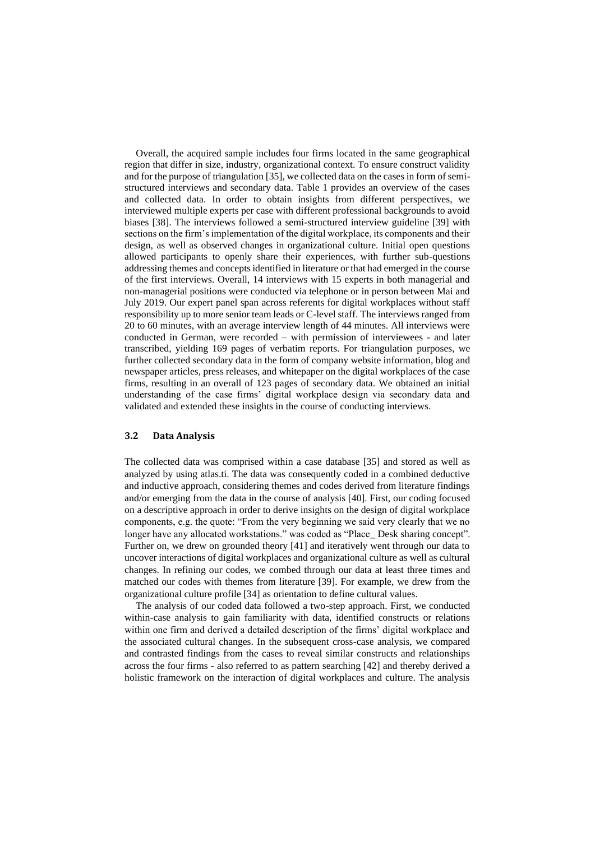Overall, the acquired sample includes four firms located in the same geographical region that differ in size, industry, organizational context. To ensure construct validity and for the purpose of triangulation [35], we collected data on the cases in form of semistructured interviews and secondary data. Table 1 provides an overview of the cases and collected data. In order to obtain insights from different perspectives, we interviewed multiple experts per case with different professional backgrounds to avoid biases [38]. The interviews followed a semi-structured interview guideline [39] with sections on the firm's implementation of the digital workplace, its components and their design, as well as observed changes in organizational culture. Initial open questions allowed participants to openly share their experiences, with further sub-questions addressing themes and concepts identified in literature or that had emerged in the course of the first interviews. Overall, 14 interviews with 15 experts in both managerial and non-managerial positions were conducted via telephone or in person between Mai and July 2019. Our expert panel span across referents for digital workplaces without staff responsibility up to more senior team leads or C-level staff. The interviews ranged from 20 to 60 minutes, with an average interview length of 44 minutes. All interviews were conducted in German, were recorded – with permission of interviewees - and later transcribed, yielding 169 pages of verbatim reports. For triangulation purposes, we further collected secondary data in the form of company website information, blog and newspaper articles, press releases, and whitepaper on the digital workplaces of the case firms, resulting in an overall of 123 pages of secondary data. We obtained an initial understanding of the case firms' digital workplace design via secondary data and validated and extended these insights in the course of conducting interviews.

#### **3.2 Data Analysis**

The collected data was comprised within a case database [35] and stored as well as analyzed by using atlas.ti. The data was consequently coded in a combined deductive and inductive approach, considering themes and codes derived from literature findings and/or emerging from the data in the course of analysis [40]. First, our coding focused on a descriptive approach in order to derive insights on the design of digital workplace components, e.g. the quote: "From the very beginning we said very clearly that we no longer have any allocated workstations." was coded as "Place Desk sharing concept". Further on, we drew on grounded theory [41] and iteratively went through our data to uncover interactions of digital workplaces and organizational culture as well as cultural changes. In refining our codes, we combed through our data at least three times and matched our codes with themes from literature [39]. For example, we drew from the organizational culture profile [34] as orientation to define cultural values.

The analysis of our coded data followed a two-step approach. First, we conducted within-case analysis to gain familiarity with data, identified constructs or relations within one firm and derived a detailed description of the firms' digital workplace and the associated cultural changes. In the subsequent cross-case analysis, we compared and contrasted findings from the cases to reveal similar constructs and relationships across the four firms - also referred to as pattern searching [42] and thereby derived a holistic framework on the interaction of digital workplaces and culture. The analysis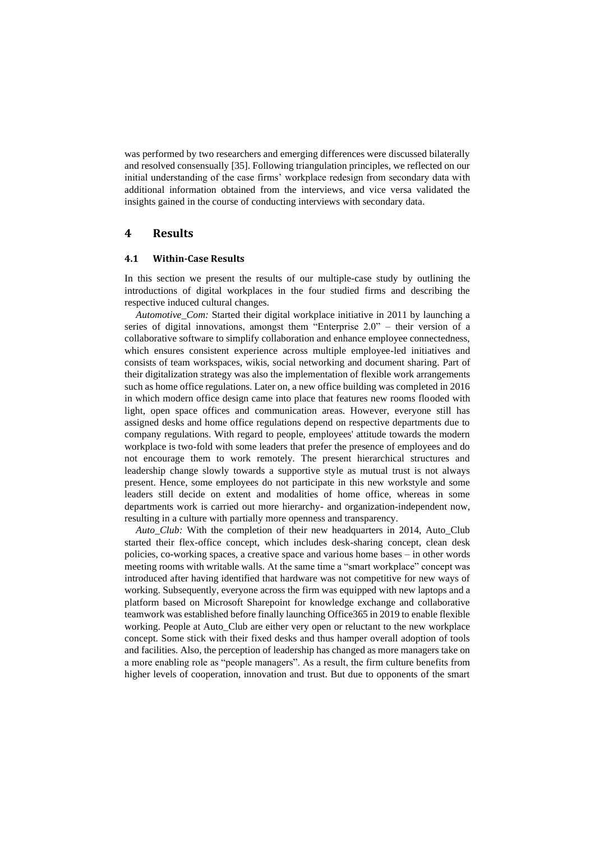was performed by two researchers and emerging differences were discussed bilaterally and resolved consensually [35]. Following triangulation principles, we reflected on our initial understanding of the case firms' workplace redesign from secondary data with additional information obtained from the interviews, and vice versa validated the insights gained in the course of conducting interviews with secondary data.

#### **4 Results**

#### **4.1 Within-Case Results**

In this section we present the results of our multiple-case study by outlining the introductions of digital workplaces in the four studied firms and describing the respective induced cultural changes.

*Automotive\_Com:* Started their digital workplace initiative in 2011 by launching a series of digital innovations, amongst them "Enterprise 2.0" – their version of a collaborative software to simplify collaboration and enhance employee connectedness, which ensures consistent experience across multiple employee-led initiatives and consists of team workspaces, wikis, social networking and document sharing. Part of their digitalization strategy was also the implementation of flexible work arrangements such as home office regulations. Later on, a new office building was completed in 2016 in which modern office design came into place that features new rooms flooded with light, open space offices and communication areas. However, everyone still has assigned desks and home office regulations depend on respective departments due to company regulations. With regard to people, employees' attitude towards the modern workplace is two-fold with some leaders that prefer the presence of employees and do not encourage them to work remotely. The present hierarchical structures and leadership change slowly towards a supportive style as mutual trust is not always present. Hence, some employees do not participate in this new workstyle and some leaders still decide on extent and modalities of home office, whereas in some departments work is carried out more hierarchy- and organization-independent now, resulting in a culture with partially more openness and transparency.

*Auto\_Club:* With the completion of their new headquarters in 2014, Auto\_Club started their flex-office concept, which includes desk-sharing concept, clean desk policies, co-working spaces, a creative space and various home bases – in other words meeting rooms with writable walls*.* At the same time a "smart workplace" concept was introduced after having identified that hardware was not competitive for new ways of working. Subsequently, everyone across the firm was equipped with new laptops and a platform based on Microsoft Sharepoint for knowledge exchange and collaborative teamwork was established before finally launching Office365 in 2019 to enable flexible working. People at Auto\_Club are either very open or reluctant to the new workplace concept. Some stick with their fixed desks and thus hamper overall adoption of tools and facilities. Also, the perception of leadership has changed as more managers take on a more enabling role as "people managers". As a result, the firm culture benefits from higher levels of cooperation, innovation and trust. But due to opponents of the smart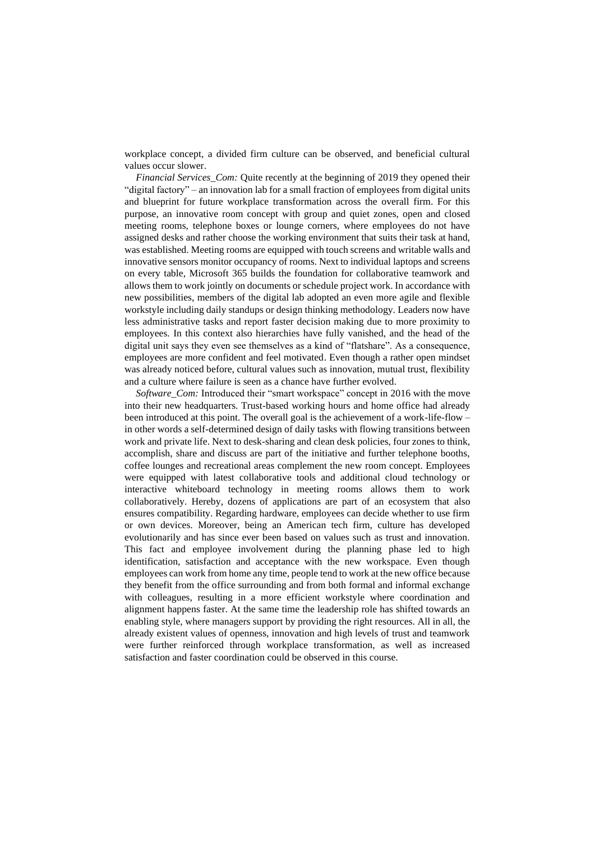workplace concept, a divided firm culture can be observed, and beneficial cultural values occur slower.

*Financial Services\_Com:* Quite recently at the beginning of 2019 they opened their "digital factory" – an innovation lab for a small fraction of employees from digital units and blueprint for future workplace transformation across the overall firm. For this purpose, an innovative room concept with group and quiet zones, open and closed meeting rooms, telephone boxes or lounge corners, where employees do not have assigned desks and rather choose the working environment that suits their task at hand, was established. Meeting rooms are equipped with touch screens and writable walls and innovative sensors monitor occupancy of rooms. Next to individual laptops and screens on every table, Microsoft 365 builds the foundation for collaborative teamwork and allows them to work jointly on documents or schedule project work. In accordance with new possibilities, members of the digital lab adopted an even more agile and flexible workstyle including daily standups or design thinking methodology. Leaders now have less administrative tasks and report faster decision making due to more proximity to employees. In this context also hierarchies have fully vanished, and the head of the digital unit says they even see themselves as a kind of "flatshare". As a consequence, employees are more confident and feel motivated. Even though a rather open mindset was already noticed before, cultural values such as innovation, mutual trust, flexibility and a culture where failure is seen as a chance have further evolved.

*Software\_Com:* Introduced their "smart workspace" concept in 2016 with the move into their new headquarters. Trust-based working hours and home office had already been introduced at this point. The overall goal is the achievement of a work-life-flow – in other words a self-determined design of daily tasks with flowing transitions between work and private life. Next to desk-sharing and clean desk policies, four zones to think, accomplish, share and discuss are part of the initiative and further telephone booths, coffee lounges and recreational areas complement the new room concept. Employees were equipped with latest collaborative tools and additional cloud technology or interactive whiteboard technology in meeting rooms allows them to work collaboratively. Hereby, dozens of applications are part of an ecosystem that also ensures compatibility. Regarding hardware, employees can decide whether to use firm or own devices. Moreover, being an American tech firm, culture has developed evolutionarily and has since ever been based on values such as trust and innovation. This fact and employee involvement during the planning phase led to high identification, satisfaction and acceptance with the new workspace. Even though employees can work from home any time, people tend to work at the new office because they benefit from the office surrounding and from both formal and informal exchange with colleagues, resulting in a more efficient workstyle where coordination and alignment happens faster. At the same time the leadership role has shifted towards an enabling style, where managers support by providing the right resources. All in all, the already existent values of openness, innovation and high levels of trust and teamwork were further reinforced through workplace transformation, as well as increased satisfaction and faster coordination could be observed in this course.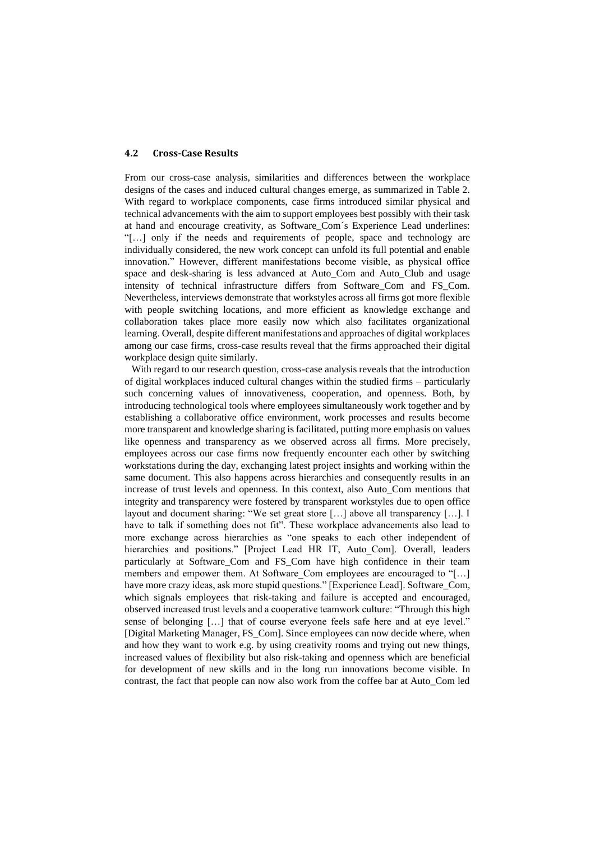#### **4.2 Cross-Case Results**

From our cross-case analysis, similarities and differences between the workplace designs of the cases and induced cultural changes emerge, as summarized in Table 2. With regard to workplace components, case firms introduced similar physical and technical advancements with the aim to support employees best possibly with their task at hand and encourage creativity, as Software\_Com´s Experience Lead underlines: "[…] only if the needs and requirements of people, space and technology are individually considered, the new work concept can unfold its full potential and enable innovation." However, different manifestations become visible, as physical office space and desk-sharing is less advanced at Auto\_Com and Auto\_Club and usage intensity of technical infrastructure differs from Software\_Com and FS\_Com. Nevertheless, interviews demonstrate that workstyles across all firms got more flexible with people switching locations, and more efficient as knowledge exchange and collaboration takes place more easily now which also facilitates organizational learning. Overall, despite different manifestations and approaches of digital workplaces among our case firms, cross-case results reveal that the firms approached their digital workplace design quite similarly.

With regard to our research question, cross-case analysis reveals that the introduction of digital workplaces induced cultural changes within the studied firms – particularly such concerning values of innovativeness, cooperation, and openness. Both, by introducing technological tools where employees simultaneously work together and by establishing a collaborative office environment, work processes and results become more transparent and knowledge sharing is facilitated, putting more emphasis on values like openness and transparency as we observed across all firms. More precisely, employees across our case firms now frequently encounter each other by switching workstations during the day, exchanging latest project insights and working within the same document. This also happens across hierarchies and consequently results in an increase of trust levels and openness. In this context, also Auto\_Com mentions that integrity and transparency were fostered by transparent workstyles due to open office layout and document sharing: "We set great store […] above all transparency […]. I have to talk if something does not fit". These workplace advancements also lead to more exchange across hierarchies as "one speaks to each other independent of hierarchies and positions." [Project Lead HR IT, Auto Com]. Overall, leaders particularly at Software\_Com and FS\_Com have high confidence in their team members and empower them. At Software Com employees are encouraged to "[...] have more crazy ideas, ask more stupid questions." [Experience Lead]. Software\_Com, which signals employees that risk-taking and failure is accepted and encouraged, observed increased trust levels and a cooperative teamwork culture: "Through this high sense of belonging […] that of course everyone feels safe here and at eye level." [Digital Marketing Manager, FS\_Com]. Since employees can now decide where, when and how they want to work e.g. by using creativity rooms and trying out new things, increased values of flexibility but also risk-taking and openness which are beneficial for development of new skills and in the long run innovations become visible. In contrast, the fact that people can now also work from the coffee bar at Auto\_Com led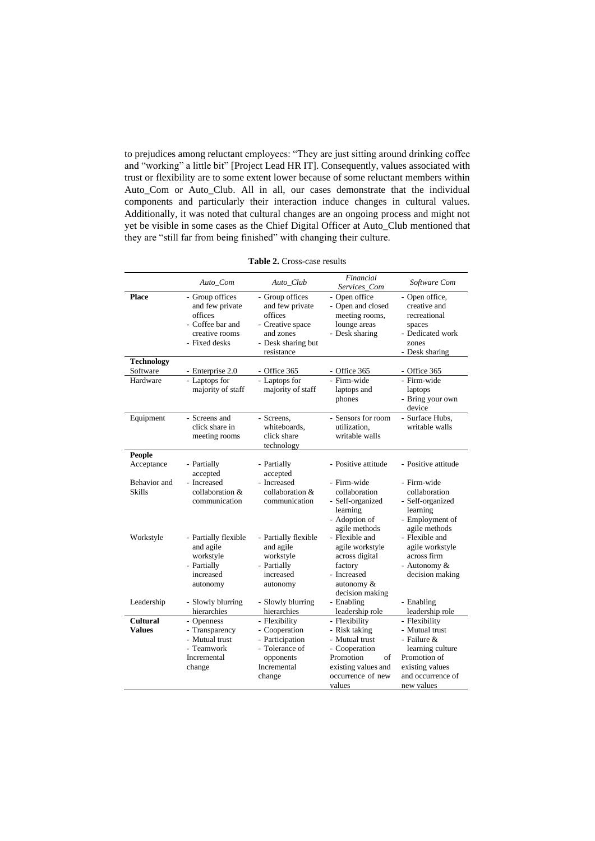to prejudices among reluctant employees: "They are just sitting around drinking coffee and "working" a little bit" [Project Lead HR IT]. Consequently, values associated with trust or flexibility are to some extent lower because of some reluctant members within Auto\_Com or Auto\_Club. All in all, our cases demonstrate that the individual components and particularly their interaction induce changes in cultural values. Additionally, it was noted that cultural changes are an ongoing process and might not yet be visible in some cases as the Chief Digital Officer at Auto\_Club mentioned that they are "still far from being finished" with changing their culture.

|                                             | Auto_Com                                                                                             | Auto_Club                                                                                                          | Financial<br>Services Com                                                                                                                  | Software Com                                                                                                                             |
|---------------------------------------------|------------------------------------------------------------------------------------------------------|--------------------------------------------------------------------------------------------------------------------|--------------------------------------------------------------------------------------------------------------------------------------------|------------------------------------------------------------------------------------------------------------------------------------------|
| <b>Place</b>                                | - Group offices<br>and few private<br>offices<br>- Coffee bar and<br>creative rooms<br>- Fixed desks | - Group offices<br>and few private<br>offices<br>- Creative space<br>and zones<br>- Desk sharing but<br>resistance | - Open office<br>- Open and closed<br>meeting rooms,<br>lounge areas<br>- Desk sharing                                                     | - Open office,<br>creative and<br>recreational<br>spaces<br>- Dedicated work<br>zones<br>- Desk sharing                                  |
| <b>Technology</b>                           |                                                                                                      |                                                                                                                    |                                                                                                                                            |                                                                                                                                          |
| Software                                    | - Enterprise 2.0                                                                                     | $-$ Office 365                                                                                                     | $-$ Office 365                                                                                                                             | - Office 365                                                                                                                             |
| Hardware                                    | - Laptops for<br>majority of staff                                                                   | - Laptops for<br>majority of staff                                                                                 | - Firm-wide<br>laptops and<br>phones                                                                                                       | - Firm-wide<br>laptops<br>- Bring your own<br>device                                                                                     |
| Equipment                                   | - Screens and<br>click share in<br>meeting rooms                                                     | - Screens,<br>whiteboards.<br>click share<br>technology                                                            | - Sensors for room<br>utilization,<br>writable walls                                                                                       | - Surface Hubs,<br>writable walls                                                                                                        |
| <b>People</b>                               |                                                                                                      |                                                                                                                    |                                                                                                                                            |                                                                                                                                          |
| Acceptance<br><b>Behavior</b> and<br>Skills | - Partially<br>accepted<br>- Increased<br>collaboration &<br>communication                           | - Partially<br>accepted<br>- Increased<br>collaboration &<br>communication                                         | - Positive attitude<br>- Firm-wide<br>collaboration<br>- Self-organized<br>learning<br>- Adoption of                                       | - Positive attitude<br>- Firm-wide<br>collaboration<br>- Self-organized<br>learning<br>- Employment of                                   |
| Workstyle                                   | - Partially flexible<br>and agile<br>workstyle<br>- Partially<br>increased<br>autonomy               | - Partially flexible<br>and agile<br>workstyle<br>- Partially<br>increased<br>autonomy                             | agile methods<br>- Flexible and<br>agile workstyle<br>across digital<br>factory<br>- Increased<br>autonomy &<br>decision making            | agile methods<br>- Flexible and<br>agile workstyle<br>across firm<br>- Autonomy &<br>decision making                                     |
| Leadership                                  | - Slowly blurring<br>hierarchies                                                                     | - Slowly blurring<br>hierarchies                                                                                   | - Enabling<br>leadership role                                                                                                              | - Enabling<br>leadership role                                                                                                            |
| <b>Cultural</b><br><b>Values</b>            | - Openness<br>- Transparency<br>- Mutual trust<br>- Teamwork<br>Incremental<br>change                | - Flexibility<br>- Cooperation<br>- Participation<br>- Tolerance of<br>opponents<br>Incremental<br>change          | - Flexibility<br>- Risk taking<br>- Mutual trust<br>- Cooperation<br>Promotion<br>of<br>existing values and<br>occurrence of new<br>values | - Flexibility<br>- Mutual trust<br>- Failure &<br>learning culture<br>Promotion of<br>existing values<br>and occurrence of<br>new values |

**Table 2.** Cross-case results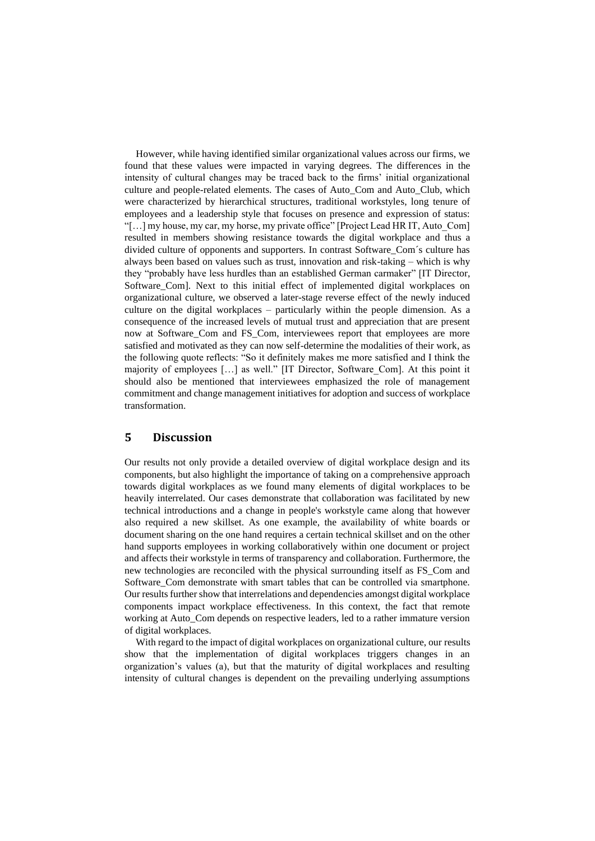However, while having identified similar organizational values across our firms, we found that these values were impacted in varying degrees. The differences in the intensity of cultural changes may be traced back to the firms' initial organizational culture and people-related elements. The cases of Auto\_Com and Auto\_Club, which were characterized by hierarchical structures, traditional workstyles, long tenure of employees and a leadership style that focuses on presence and expression of status: "[…] my house, my car, my horse, my private office" [Project Lead HR IT, Auto\_Com] resulted in members showing resistance towards the digital workplace and thus a divided culture of opponents and supporters. In contrast Software\_Com´s culture has always been based on values such as trust, innovation and risk-taking – which is why they "probably have less hurdles than an established German carmaker" [IT Director, Software Com]. Next to this initial effect of implemented digital workplaces on organizational culture, we observed a later-stage reverse effect of the newly induced culture on the digital workplaces – particularly within the people dimension. As a consequence of the increased levels of mutual trust and appreciation that are present now at Software\_Com and FS\_Com, interviewees report that employees are more satisfied and motivated as they can now self-determine the modalities of their work, as the following quote reflects: "So it definitely makes me more satisfied and I think the majority of employees […] as well." [IT Director, Software\_Com]. At this point it should also be mentioned that interviewees emphasized the role of management commitment and change management initiatives for adoption and success of workplace transformation.

## **5 Discussion**

Our results not only provide a detailed overview of digital workplace design and its components, but also highlight the importance of taking on a comprehensive approach towards digital workplaces as we found many elements of digital workplaces to be heavily interrelated. Our cases demonstrate that collaboration was facilitated by new technical introductions and a change in people's workstyle came along that however also required a new skillset. As one example, the availability of white boards or document sharing on the one hand requires a certain technical skillset and on the other hand supports employees in working collaboratively within one document or project and affects their workstyle in terms of transparency and collaboration. Furthermore, the new technologies are reconciled with the physical surrounding itself as FS\_Com and Software\_Com demonstrate with smart tables that can be controlled via smartphone. Our results further show that interrelations and dependencies amongst digital workplace components impact workplace effectiveness. In this context, the fact that remote working at Auto Com depends on respective leaders, led to a rather immature version of digital workplaces.

With regard to the impact of digital workplaces on organizational culture, our results show that the implementation of digital workplaces triggers changes in an organization's values (a), but that the maturity of digital workplaces and resulting intensity of cultural changes is dependent on the prevailing underlying assumptions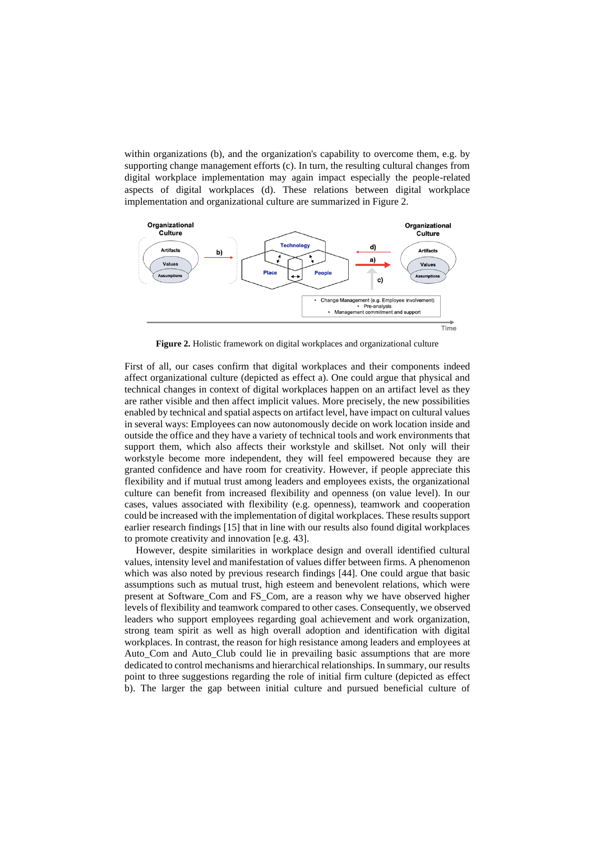within organizations (b), and the organization's capability to overcome them, e.g. by supporting change management efforts (c). In turn, the resulting cultural changes from digital workplace implementation may again impact especially the people-related aspects of digital workplaces (d). These relations between digital workplace implementation and organizational culture are summarized in Figure 2.



**Figure 2.** Holistic framework on digital workplaces and organizational culture

First of all, our cases confirm that digital workplaces and their components indeed affect organizational culture (depicted as effect a). One could argue that physical and technical changes in context of digital workplaces happen on an artifact level as they are rather visible and then affect implicit values. More precisely, the new possibilities enabled by technical and spatial aspects on artifact level, have impact on cultural values in several ways: Employees can now autonomously decide on work location inside and outside the office and they have a variety of technical tools and work environments that support them, which also affects their workstyle and skillset. Not only will their workstyle become more independent, they will feel empowered because they are granted confidence and have room for creativity. However, if people appreciate this flexibility and if mutual trust among leaders and employees exists, the organizational culture can benefit from increased flexibility and openness (on value level). In our cases, values associated with flexibility (e.g. openness), teamwork and cooperation could be increased with the implementation of digital workplaces. These results support earlier research findings [15] that in line with our results also found digital workplaces to promote creativity and innovation [e.g. 43].

However, despite similarities in workplace design and overall identified cultural values, intensity level and manifestation of values differ between firms. A phenomenon which was also noted by previous research findings [44]. One could argue that basic assumptions such as mutual trust, high esteem and benevolent relations, which were present at Software\_Com and FS\_Com, are a reason why we have observed higher levels of flexibility and teamwork compared to other cases. Consequently, we observed leaders who support employees regarding goal achievement and work organization, strong team spirit as well as high overall adoption and identification with digital workplaces. In contrast, the reason for high resistance among leaders and employees at Auto Com and Auto Club could lie in prevailing basic assumptions that are more dedicated to control mechanisms and hierarchical relationships. In summary, our results point to three suggestions regarding the role of initial firm culture (depicted as effect b). The larger the gap between initial culture and pursued beneficial culture of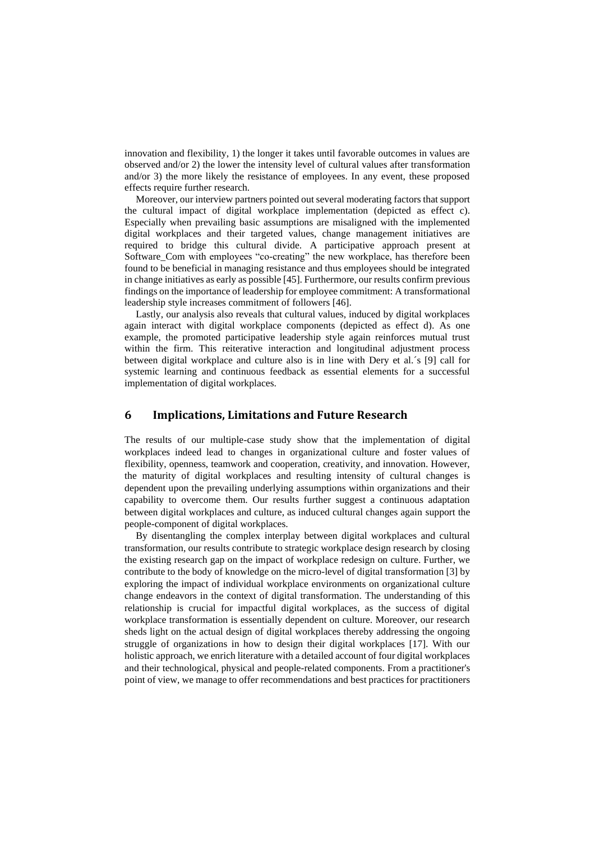innovation and flexibility, 1) the longer it takes until favorable outcomes in values are observed and/or 2) the lower the intensity level of cultural values after transformation and/or 3) the more likely the resistance of employees. In any event, these proposed effects require further research.

Moreover, our interview partners pointed out several moderating factors that support the cultural impact of digital workplace implementation (depicted as effect c). Especially when prevailing basic assumptions are misaligned with the implemented digital workplaces and their targeted values, change management initiatives are required to bridge this cultural divide. A participative approach present at Software\_Com with employees "co-creating" the new workplace, has therefore been found to be beneficial in managing resistance and thus employees should be integrated in change initiatives as early as possible [45]. Furthermore, our results confirm previous findings on the importance of leadership for employee commitment: A transformational leadership style increases commitment of followers [46].

Lastly, our analysis also reveals that cultural values, induced by digital workplaces again interact with digital workplace components (depicted as effect d). As one example, the promoted participative leadership style again reinforces mutual trust within the firm. This reiterative interaction and longitudinal adjustment process between digital workplace and culture also is in line with Dery et al.´s [9] call for systemic learning and continuous feedback as essential elements for a successful implementation of digital workplaces.

#### **6 Implications, Limitations and Future Research**

The results of our multiple-case study show that the implementation of digital workplaces indeed lead to changes in organizational culture and foster values of flexibility, openness, teamwork and cooperation, creativity, and innovation. However, the maturity of digital workplaces and resulting intensity of cultural changes is dependent upon the prevailing underlying assumptions within organizations and their capability to overcome them. Our results further suggest a continuous adaptation between digital workplaces and culture, as induced cultural changes again support the people-component of digital workplaces.

By disentangling the complex interplay between digital workplaces and cultural transformation, our results contribute to strategic workplace design research by closing the existing research gap on the impact of workplace redesign on culture. Further, we contribute to the body of knowledge on the micro-level of digital transformation [3] by exploring the impact of individual workplace environments on organizational culture change endeavors in the context of digital transformation. The understanding of this relationship is crucial for impactful digital workplaces, as the success of digital workplace transformation is essentially dependent on culture. Moreover, our research sheds light on the actual design of digital workplaces thereby addressing the ongoing struggle of organizations in how to design their digital workplaces [17]. With our holistic approach, we enrich literature with a detailed account of four digital workplaces and their technological, physical and people-related components. From a practitioner's point of view, we manage to offer recommendations and best practices for practitioners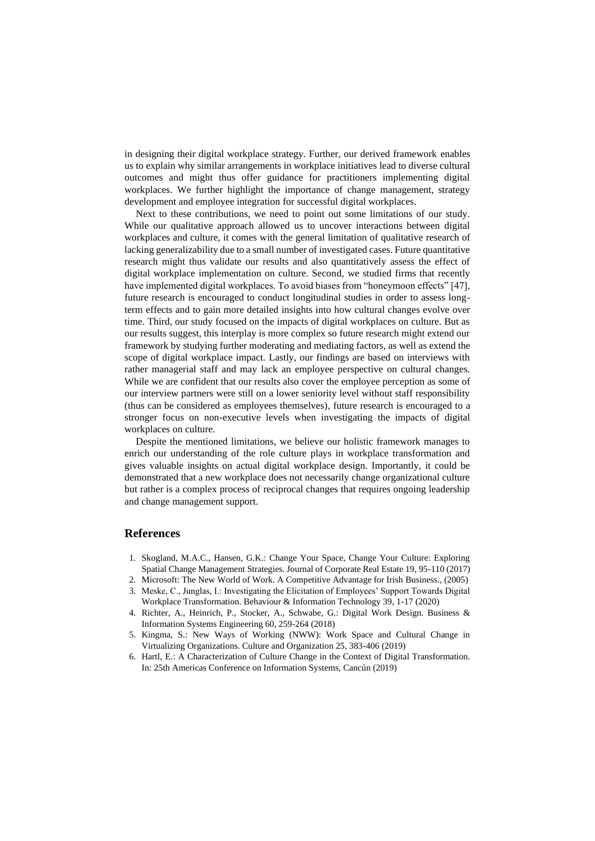in designing their digital workplace strategy. Further, our derived framework enables us to explain why similar arrangements in workplace initiatives lead to diverse cultural outcomes and might thus offer guidance for practitioners implementing digital workplaces. We further highlight the importance of change management, strategy development and employee integration for successful digital workplaces.

Next to these contributions, we need to point out some limitations of our study. While our qualitative approach allowed us to uncover interactions between digital workplaces and culture, it comes with the general limitation of qualitative research of lacking generalizability due to a small number of investigated cases. Future quantitative research might thus validate our results and also quantitatively assess the effect of digital workplace implementation on culture. Second, we studied firms that recently have implemented digital workplaces. To avoid biases from "honeymoon effects" [47], future research is encouraged to conduct longitudinal studies in order to assess longterm effects and to gain more detailed insights into how cultural changes evolve over time. Third, our study focused on the impacts of digital workplaces on culture. But as our results suggest, this interplay is more complex so future research might extend our framework by studying further moderating and mediating factors, as well as extend the scope of digital workplace impact. Lastly, our findings are based on interviews with rather managerial staff and may lack an employee perspective on cultural changes. While we are confident that our results also cover the employee perception as some of our interview partners were still on a lower seniority level without staff responsibility (thus can be considered as employees themselves), future research is encouraged to a stronger focus on non-executive levels when investigating the impacts of digital workplaces on culture.

Despite the mentioned limitations, we believe our holistic framework manages to enrich our understanding of the role culture plays in workplace transformation and gives valuable insights on actual digital workplace design. Importantly, it could be demonstrated that a new workplace does not necessarily change organizational culture but rather is a complex process of reciprocal changes that requires ongoing leadership and change management support.

#### **References**

- 1. Skogland, M.A.C., Hansen, G.K.: Change Your Space, Change Your Culture: Exploring Spatial Change Management Strategies. Journal of Corporate Real Estate 19, 95-110 (2017)
- 2. Microsoft: The New World of Work. A Competitive Advantage for Irish Business., (2005)
- 3. Meske, C., Junglas, I.: Investigating the Elicitation of Employees' Support Towards Digital Workplace Transformation. Behaviour & Information Technology 39, 1-17 (2020)
- 4. Richter, A., Heinrich, P., Stocker, A., Schwabe, G.: Digital Work Design. Business & Information Systems Engineering 60, 259-264 (2018)
- 5. Kingma, S.: New Ways of Working (NWW): Work Space and Cultural Change in Virtualizing Organizations. Culture and Organization 25, 383-406 (2019)
- 6. Hartl, E.: A Characterization of Culture Change in the Context of Digital Transformation. In: 25th Americas Conference on Information Systems, Cancún (2019)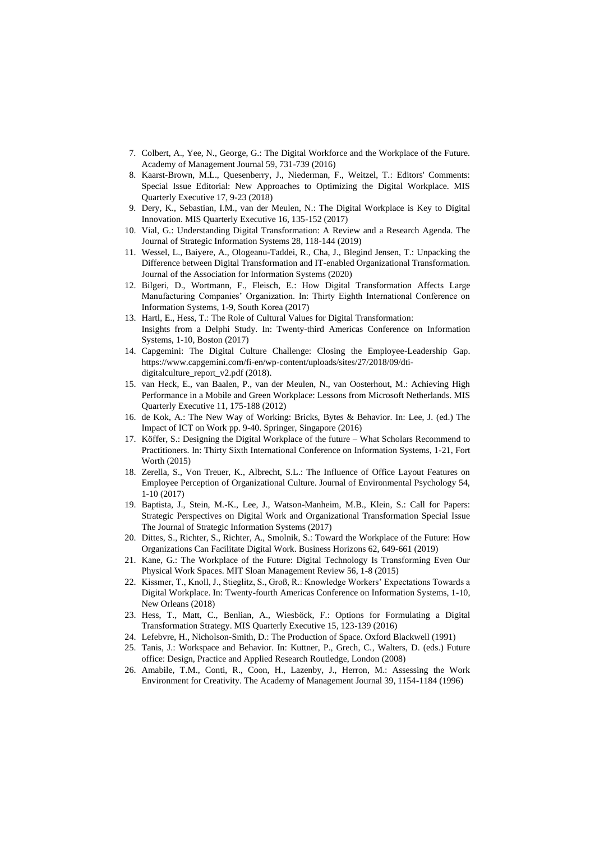- 7. Colbert, A., Yee, N., George, G.: The Digital Workforce and the Workplace of the Future. Academy of Management Journal 59, 731-739 (2016)
- 8. Kaarst-Brown, M.L., Quesenberry, J., Niederman, F., Weitzel, T.: Editors' Comments: Special Issue Editorial: New Approaches to Optimizing the Digital Workplace. MIS Quarterly Executive 17, 9-23 (2018)
- 9. Dery, K., Sebastian, I.M., van der Meulen, N.: The Digital Workplace is Key to Digital Innovation. MIS Quarterly Executive 16, 135-152 (2017)
- 10. Vial, G.: Understanding Digital Transformation: A Review and a Research Agenda. The Journal of Strategic Information Systems 28, 118-144 (2019)
- 11. Wessel, L., Baiyere, A., Ologeanu-Taddei, R., Cha, J., Blegind Jensen, T.: Unpacking the Difference between Digital Transformation and IT-enabled Organizational Transformation. Journal of the Association for Information Systems (2020)
- 12. Bilgeri, D., Wortmann, F., Fleisch, E.: How Digital Transformation Affects Large Manufacturing Companies' Organization. In: Thirty Eighth International Conference on Information Systems, 1-9, South Korea (2017)
- 13. Hartl, E., Hess, T.: The Role of Cultural Values for Digital Transformation: Insights from a Delphi Study. In: Twenty-third Americas Conference on Information Systems, 1-10, Boston (2017)
- 14. Capgemini: The Digital Culture Challenge: Closing the Employee-Leadership Gap. https://www.capgemini.com/fi-en/wp-content/uploads/sites/27/2018/09/dtidigitalculture\_report\_v2.pdf (2018).
- 15. van Heck, E., van Baalen, P., van der Meulen, N., van Oosterhout, M.: Achieving High Performance in a Mobile and Green Workplace: Lessons from Microsoft Netherlands. MIS Quarterly Executive 11, 175-188 (2012)
- 16. de Kok, A.: The New Way of Working: Bricks, Bytes & Behavior. In: Lee, J. (ed.) The Impact of ICT on Work pp. 9-40. Springer, Singapore (2016)
- 17. Köffer, S.: Designing the Digital Workplace of the future What Scholars Recommend to Practitioners. In: Thirty Sixth International Conference on Information Systems, 1-21, Fort Worth (2015)
- 18. Zerella, S., Von Treuer, K., Albrecht, S.L.: The Influence of Office Layout Features on Employee Perception of Organizational Culture. Journal of Environmental Psychology 54, 1-10 (2017)
- 19. Baptista, J., Stein, M.-K., Lee, J., Watson-Manheim, M.B., Klein, S.: Call for Papers: Strategic Perspectives on Digital Work and Organizational Transformation Special Issue The Journal of Strategic Information Systems (2017)
- 20. Dittes, S., Richter, S., Richter, A., Smolnik, S.: Toward the Workplace of the Future: How Organizations Can Facilitate Digital Work. Business Horizons 62, 649-661 (2019)
- 21. Kane, G.: The Workplace of the Future: Digital Technology Is Transforming Even Our Physical Work Spaces. MIT Sloan Management Review 56, 1-8 (2015)
- 22. Kissmer, T., Knoll, J., Stieglitz, S., Groß, R.: Knowledge Workers' Expectations Towards a Digital Workplace. In: Twenty-fourth Americas Conference on Information Systems, 1-10, New Orleans (2018)
- 23. Hess, T., Matt, C., Benlian, A., Wiesböck, F.: Options for Formulating a Digital Transformation Strategy. MIS Quarterly Executive 15, 123-139 (2016)
- 24. Lefebvre, H., Nicholson-Smith, D.: The Production of Space. Oxford Blackwell (1991)
- 25. Tanis, J.: Workspace and Behavior. In: Kuttner, P., Grech, C., Walters, D. (eds.) Future office: Design, Practice and Applied Research Routledge, London (2008)
- 26. Amabile, T.M., Conti, R., Coon, H., Lazenby, J., Herron, M.: Assessing the Work Environment for Creativity. The Academy of Management Journal 39, 1154-1184 (1996)